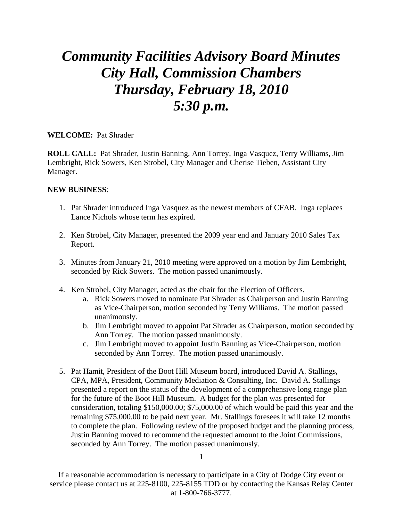## *Community Facilities Advisory Board Minutes City Hall, Commission Chambers Thursday, February 18, 2010 5:30 p.m.*

## **WELCOME:** Pat Shrader

**ROLL CALL:** Pat Shrader, Justin Banning, Ann Torrey, Inga Vasquez, Terry Williams, Jim Lembright, Rick Sowers, Ken Strobel, City Manager and Cherise Tieben, Assistant City Manager.

## **NEW BUSINESS**:

- 1. Pat Shrader introduced Inga Vasquez as the newest members of CFAB. Inga replaces Lance Nichols whose term has expired.
- 2. Ken Strobel, City Manager, presented the 2009 year end and January 2010 Sales Tax Report.
- 3. Minutes from January 21, 2010 meeting were approved on a motion by Jim Lembright, seconded by Rick Sowers. The motion passed unanimously.
- 4. Ken Strobel, City Manager, acted as the chair for the Election of Officers.
	- a. Rick Sowers moved to nominate Pat Shrader as Chairperson and Justin Banning as Vice-Chairperson, motion seconded by Terry Williams. The motion passed unanimously.
	- b. Jim Lembright moved to appoint Pat Shrader as Chairperson, motion seconded by Ann Torrey. The motion passed unanimously.
	- c. Jim Lembright moved to appoint Justin Banning as Vice-Chairperson, motion seconded by Ann Torrey. The motion passed unanimously.
- 5. Pat Hamit, President of the Boot Hill Museum board, introduced David A. Stallings, CPA, MPA, President, Community Mediation & Consulting, Inc. David A. Stallings presented a report on the status of the development of a comprehensive long range plan for the future of the Boot Hill Museum. A budget for the plan was presented for consideration, totaling \$150,000.00; \$75,000.00 of which would be paid this year and the remaining \$75,000.00 to be paid next year. Mr. Stallings foresees it will take 12 months to complete the plan. Following review of the proposed budget and the planning process, Justin Banning moved to recommend the requested amount to the Joint Commissions, seconded by Ann Torrey. The motion passed unanimously.

If a reasonable accommodation is necessary to participate in a City of Dodge City event or service please contact us at 225-8100, 225-8155 TDD or by contacting the Kansas Relay Center at 1-800-766-3777.